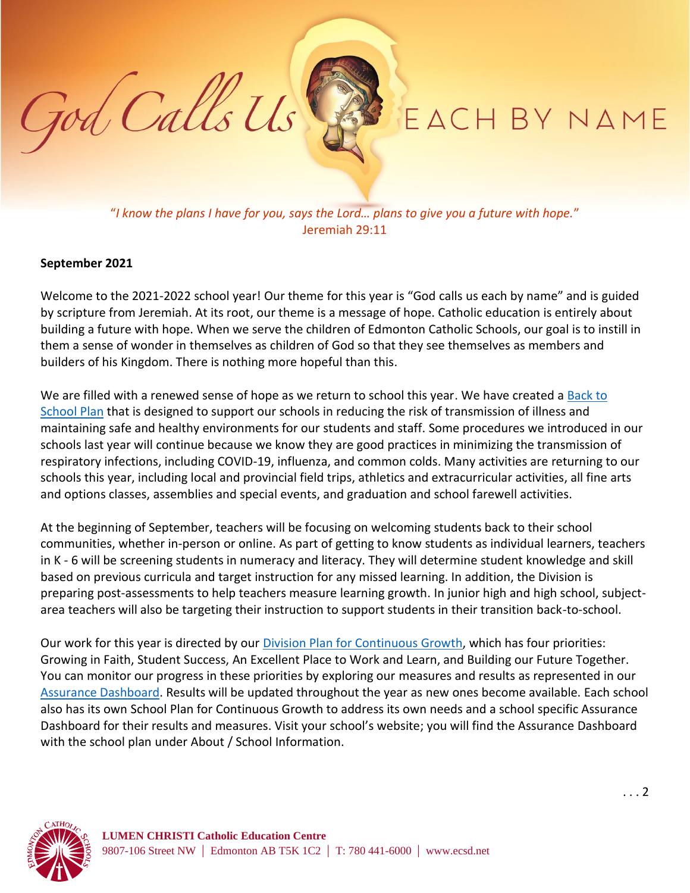## EACH BY NAME

"*I know the plans I have for you, says the Lord… plans to give you a future with hope.*" Jeremiah 29:11

## **September 2021**

God Calls Us

Welcome to the 2021-2022 school year! Our theme for this year is "God calls us each by name" and is guided by scripture from Jeremiah. At its root, our theme is a message of hope. Catholic education is entirely about building a future with hope. When we serve the children of Edmonton Catholic Schools, our goal is to instill in them a sense of wonder in themselves as children of God so that they see themselves as members and builders of his Kingdom. There is nothing more hopeful than this.

We are filled with a renewed sense of hope as we return to school this year. We have created a Back to [School](https://www.ecsd.net/page/7013/back-to-school-plan-for-the-2021-2022-school-year) Plan that is designed to support our schools in reducing the risk of transmission of illness and maintaining safe and healthy environments for our students and staff. Some procedures we introduced in our schools last year will continue because we know they are good practices in minimizing the transmission of respiratory infections, including COVID-19, influenza, and common colds. Many activities are returning to our schools this year, including local and provincial field trips, athletics and extracurricular activities, all fine arts and options classes, assemblies and special events, and graduation and school farewell activities.

At the beginning of September, teachers will be focusing on welcoming students back to their school communities, whether in-person or online. As part of getting to know students as individual learners, teachers in K - 6 will be screening students in numeracy and literacy. They will determine student knowledge and skill based on previous curricula and target instruction for any missed learning. In addition, the Division is preparing post-assessments to help teachers measure learning growth. In junior high and high school, subjectarea teachers will also be targeting their instruction to support students in their transition back-to-school. 

Our work for this year is directed by our **Division Plan for Continuous Growth**, which has four priorities: Growing in Faith, Student Success, An Excellent Place to Work and Learn, and Building our Future Together. You can monitor our progress in these priorities by exploring our measures and results as represented in our [Assurance Dashboard.](https://www.ecsd.net/page/15285/assurance-dashboard) Results will be updated throughout the year as new ones become available. Each school also has its own School Plan for Continuous Growth to address its own needs and a school specific Assurance Dashboard for their results and measures. Visit your school's website; you will find the Assurance Dashboard with the school plan under About / School Information.